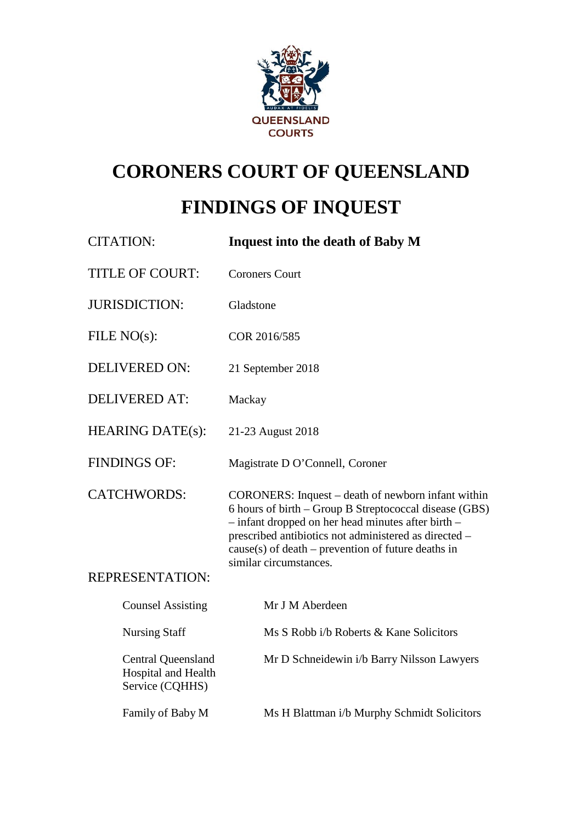

# **CORONERS COURT OF QUEENSLAND FINDINGS OF INQUEST**

| <b>CITATION:</b>                                                    | <b>Inquest into the death of Baby M</b>                                                                                                                                                                                                                                                                           |
|---------------------------------------------------------------------|-------------------------------------------------------------------------------------------------------------------------------------------------------------------------------------------------------------------------------------------------------------------------------------------------------------------|
| <b>TITLE OF COURT:</b>                                              | <b>Coroners Court</b>                                                                                                                                                                                                                                                                                             |
| <b>JURISDICTION:</b>                                                | Gladstone                                                                                                                                                                                                                                                                                                         |
| FILE $NO(s)$ :                                                      | COR 2016/585                                                                                                                                                                                                                                                                                                      |
| <b>DELIVERED ON:</b>                                                | 21 September 2018                                                                                                                                                                                                                                                                                                 |
| <b>DELIVERED AT:</b>                                                | Mackay                                                                                                                                                                                                                                                                                                            |
| <b>HEARING DATE(s):</b>                                             | 21-23 August 2018                                                                                                                                                                                                                                                                                                 |
| <b>FINDINGS OF:</b>                                                 | Magistrate D O'Connell, Coroner                                                                                                                                                                                                                                                                                   |
| <b>CATCHWORDS:</b>                                                  | CORONERS: Inquest – death of newborn infant within<br>6 hours of birth - Group B Streptococcal disease (GBS)<br>$-$ infant dropped on her head minutes after birth $-$<br>prescribed antibiotics not administered as directed -<br>$cause(s)$ of death – prevention of future deaths in<br>similar circumstances. |
| <b>REPRESENTATION:</b>                                              |                                                                                                                                                                                                                                                                                                                   |
| <b>Counsel Assisting</b>                                            | Mr J M Aberdeen                                                                                                                                                                                                                                                                                                   |
| <b>Nursing Staff</b>                                                | Ms S Robb i/b Roberts & Kane Solicitors                                                                                                                                                                                                                                                                           |
| <b>Central Queensland</b><br>Hospital and Health<br>Service (CQHHS) | Mr D Schneidewin i/b Barry Nilsson Lawyers                                                                                                                                                                                                                                                                        |
| Family of Baby M                                                    |                                                                                                                                                                                                                                                                                                                   |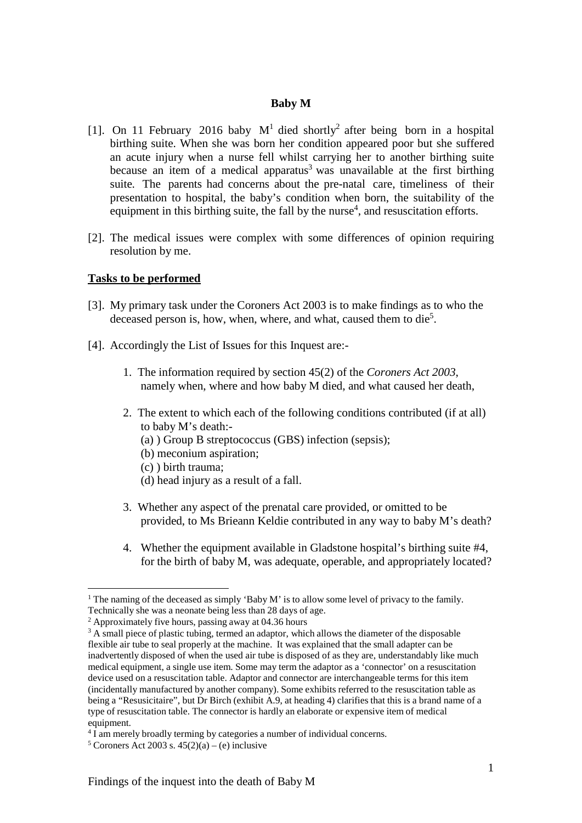#### **Baby M**

- [1]. On 11 February 2016 baby  $M<sup>1</sup>$  died shortly<sup>2</sup> after being born in a hospital birthing suite. When she was born her condition appeared poor but she suffered an acute injury when a nurse fell whilst carrying her to another birthing suite because an item of a medical apparatus<sup>3</sup> was unavailable at the first birthing suite. The parents had concerns about the pre-natal care, timeliness of their presentation to hospital, the baby's condition when born, the suitability of the equipment in this birthing suite, the fall by the nurse<sup>4</sup>, and resuscitation efforts.
- [2]. The medical issues were complex with some differences of opinion requiring resolution by me.

#### **Tasks to be performed**

- [3]. My primary task under the Coroners Act 2003 is to make findings as to who the deceased person is, how, when, where, and what, caused them to die<sup>5</sup>.
- [4]. Accordingly the List of Issues for this Inquest are:-
	- 1. The information required by section 45(2) of the *Coroners Act 2003*, namely when, where and how baby M died, and what caused her death,
	- 2. The extent to which each of the following conditions contributed (if at all) to baby M's death:-
		- (a) ) Group B streptococcus (GBS) infection (sepsis);
		- (b) meconium aspiration;
		- (c) ) birth trauma;
		- (d) head injury as a result of a fall.
	- 3. Whether any aspect of the prenatal care provided, or omitted to be provided, to Ms Brieann Keldie contributed in any way to baby M's death?
	- 4. Whether the equipment available in Gladstone hospital's birthing suite #4, for the birth of baby M, was adequate, operable, and appropriately located?

<sup>&</sup>lt;sup>1</sup> The naming of the deceased as simply 'Baby M' is to allow some level of privacy to the family. Technically she was a neonate being less than 28 days of age.

<sup>2</sup> Approximately five hours, passing away at 04.36 hours

<sup>&</sup>lt;sup>3</sup> A small piece of plastic tubing, termed an adaptor, which allows the diameter of the disposable flexible air tube to seal properly at the machine. It was explained that the small adapter can be inadvertently disposed of when the used air tube is disposed of as they are, understandably like much medical equipment, a single use item. Some may term the adaptor as a 'connector' on a resuscitation device used on a resuscitation table. Adaptor and connector are interchangeable terms for this item (incidentally manufactured by another company). Some exhibits referred to the resuscitation table as being a "Resusicitaire", but Dr Birch (exhibit A.9, at heading 4) clarifies that this is a brand name of a type of resuscitation table. The connector is hardly an elaborate or expensive item of medical equipment.

<sup>&</sup>lt;sup>4</sup> I am merely broadly terming by categories a number of individual concerns.

<sup>&</sup>lt;sup>5</sup> Coroners Act 2003 s.  $45(2)(a) - (e)$  inclusive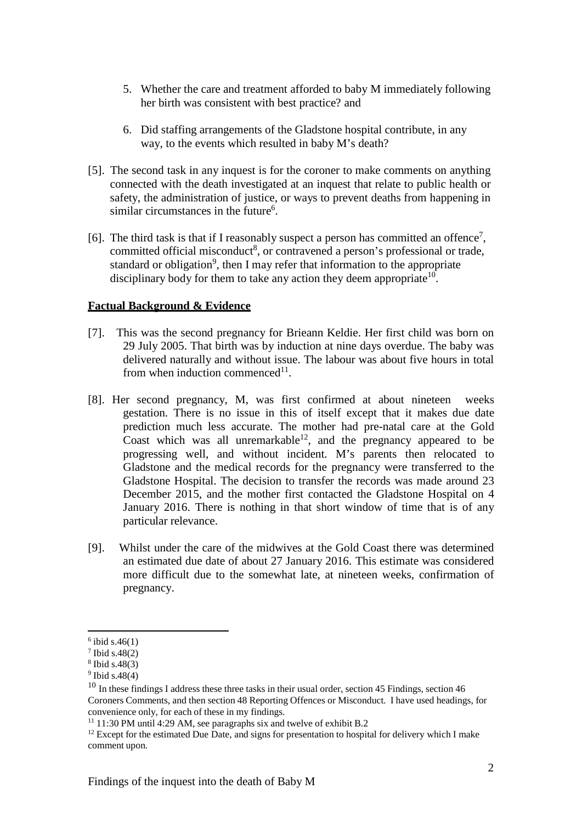- 5. Whether the care and treatment afforded to baby M immediately following her birth was consistent with best practice? and
- 6. Did staffing arrangements of the Gladstone hospital contribute, in any way, to the events which resulted in baby M's death?
- [5]. The second task in any inquest is for the coroner to make comments on anything connected with the death investigated at an inquest that relate to public health or safety, the administration of justice, or ways to prevent deaths from happening in similar circumstances in the future<sup>6</sup>.
- [6]. The third task is that if I reasonably suspect a person has committed an offence<sup>7</sup>, committed official misconduct<sup>8</sup>, or contravened a person's professional or trade, standard or obligation<sup>9</sup>, then I may refer that information to the appropriate disciplinary body for them to take any action they deem appropriate  $10$ .

## **Factual Background & Evidence**

- [7]. This was the second pregnancy for Brieann Keldie. Her first child was born on 29 July 2005. That birth was by induction at nine days overdue. The baby was delivered naturally and without issue. The labour was about five hours in total from when induction commenced $11$ .
- [8]. Her second pregnancy, M, was first confirmed at about nineteen weeks gestation. There is no issue in this of itself except that it makes due date prediction much less accurate. The mother had pre-natal care at the Gold Coast which was all unremarkable<sup>12</sup>, and the pregnancy appeared to be progressing well, and without incident. M's parents then relocated to Gladstone and the medical records for the pregnancy were transferred to the Gladstone Hospital. The decision to transfer the records was made around 23 December 2015, and the mother first contacted the Gladstone Hospital on 4 January 2016. There is nothing in that short window of time that is of any particular relevance.
- [9]. Whilst under the care of the midwives at the Gold Coast there was determined an estimated due date of about 27 January 2016. This estimate was considered more difficult due to the somewhat late, at nineteen weeks, confirmation of pregnancy.

 $6$  ibid s.46(1)

<sup>7</sup> Ibid s.48(2)

<sup>8</sup> Ibid s.48(3)

 $9$  Ibid s.48(4)

<sup>&</sup>lt;sup>10</sup> In these findings I address these three tasks in their usual order, section 45 Findings, section 46 Coroners Comments, and then section 48 Reporting Offences or Misconduct. I have used headings, for convenience only, for each of these in my findings.

 $11$  11:30 PM until 4:29 AM, see paragraphs six and twelve of exhibit B.2

 $12$  Except for the estimated Due Date, and signs for presentation to hospital for delivery which I make comment upon.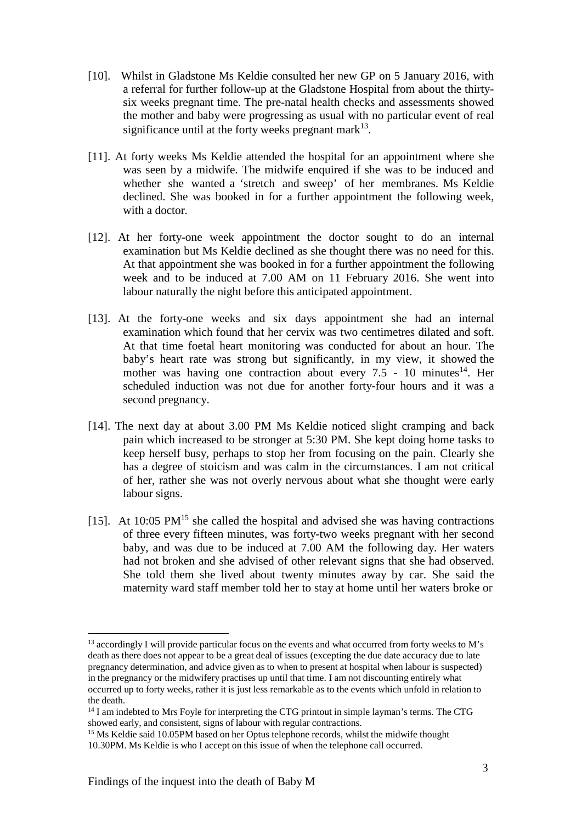- [10]. Whilst in Gladstone Ms Keldie consulted her new GP on 5 January 2016, with a referral for further follow-up at the Gladstone Hospital from about the thirtysix weeks pregnant time. The pre-natal health checks and assessments showed the mother and baby were progressing as usual with no particular event of real significance until at the forty weeks pregnant mark<sup>13</sup>.
- [11]. At forty weeks Ms Keldie attended the hospital for an appointment where she was seen by a midwife. The midwife enquired if she was to be induced and whether she wanted a 'stretch and sweep' of her membranes. Ms Keldie declined. She was booked in for a further appointment the following week, with a doctor.
- [12]. At her forty-one week appointment the doctor sought to do an internal examination but Ms Keldie declined as she thought there was no need for this. At that appointment she was booked in for a further appointment the following week and to be induced at 7.00 AM on 11 February 2016. She went into labour naturally the night before this anticipated appointment.
- [13]. At the forty-one weeks and six days appointment she had an internal examination which found that her cervix was two centimetres dilated and soft. At that time foetal heart monitoring was conducted for about an hour. The baby's heart rate was strong but significantly, in my view, it showed the mother was having one contraction about every  $7.5$  - 10 minutes<sup>14</sup>. Her scheduled induction was not due for another forty-four hours and it was a second pregnancy.
- [14]. The next day at about 3.00 PM Ms Keldie noticed slight cramping and back pain which increased to be stronger at 5:30 PM. She kept doing home tasks to keep herself busy, perhaps to stop her from focusing on the pain. Clearly she has a degree of stoicism and was calm in the circumstances. I am not critical of her, rather she was not overly nervous about what she thought were early labour signs.
- [15]. At 10:05  $PM<sup>15</sup>$  she called the hospital and advised she was having contractions of three every fifteen minutes, was forty-two weeks pregnant with her second baby, and was due to be induced at 7.00 AM the following day. Her waters had not broken and she advised of other relevant signs that she had observed. She told them she lived about twenty minutes away by car. She said the maternity ward staff member told her to stay at home until her waters broke or

<sup>&</sup>lt;sup>13</sup> accordingly I will provide particular focus on the events and what occurred from forty weeks to M's death as there does not appear to be a great deal of issues (excepting the due date accuracy due to late pregnancy determination, and advice given as to when to present at hospital when labour is suspected) in the pregnancy or the midwifery practises up until that time. I am not discounting entirely what occurred up to forty weeks, rather it is just less remarkable as to the events which unfold in relation to the death.

<sup>&</sup>lt;sup>14</sup> I am indebted to Mrs Foyle for interpreting the CTG printout in simple layman's terms. The CTG showed early, and consistent, signs of labour with regular contractions.

<sup>&</sup>lt;sup>15</sup> Ms Keldie said 10.05PM based on her Optus telephone records, whilst the midwife thought 10.30PM. Ms Keldie is who I accept on this issue of when the telephone call occurred.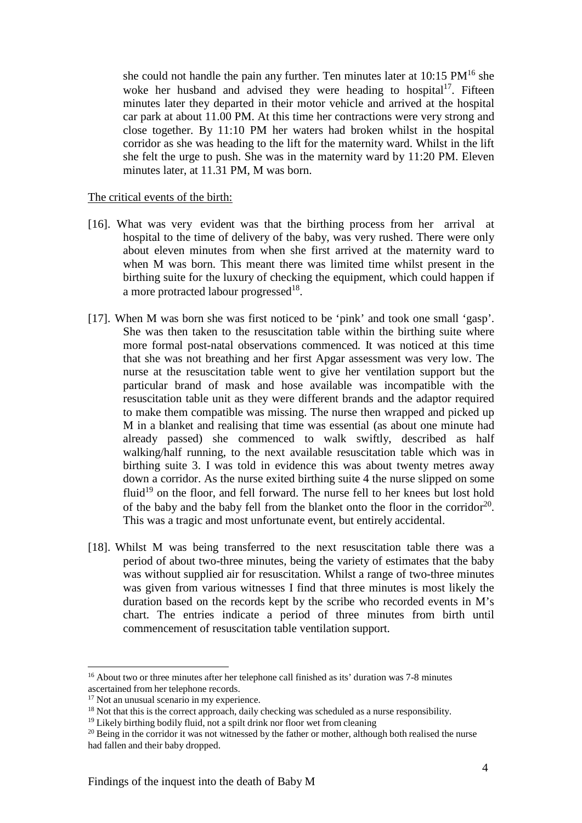she could not handle the pain any further. Ten minutes later at  $10:15 \text{ PM}^{16}$  she woke her husband and advised they were heading to hospital<sup>17</sup>. Fifteen minutes later they departed in their motor vehicle and arrived at the hospital car park at about 11.00 PM. At this time her contractions were very strong and close together. By 11:10 PM her waters had broken whilst in the hospital corridor as she was heading to the lift for the maternity ward. Whilst in the lift she felt the urge to push. She was in the maternity ward by 11:20 PM. Eleven minutes later, at 11.31 PM, M was born.

The critical events of the birth:

- [16]. What was very evident was that the birthing process from her arrival at hospital to the time of delivery of the baby, was very rushed. There were only about eleven minutes from when she first arrived at the maternity ward to when M was born. This meant there was limited time whilst present in the birthing suite for the luxury of checking the equipment, which could happen if a more protracted labour progressed<sup>18</sup>.
- [17]. When M was born she was first noticed to be 'pink' and took one small 'gasp'. She was then taken to the resuscitation table within the birthing suite where more formal post-natal observations commenced. It was noticed at this time that she was not breathing and her first Apgar assessment was very low. The nurse at the resuscitation table went to give her ventilation support but the particular brand of mask and hose available was incompatible with the resuscitation table unit as they were different brands and the adaptor required to make them compatible was missing. The nurse then wrapped and picked up M in a blanket and realising that time was essential (as about one minute had already passed) she commenced to walk swiftly, described as half walking/half running, to the next available resuscitation table which was in birthing suite 3. I was told in evidence this was about twenty metres away down a corridor. As the nurse exited birthing suite 4 the nurse slipped on some fluid<sup>19</sup> on the floor, and fell forward. The nurse fell to her knees but lost hold of the baby and the baby fell from the blanket onto the floor in the corridor<sup>20</sup>. This was a tragic and most unfortunate event, but entirely accidental.
- [18]. Whilst M was being transferred to the next resuscitation table there was a period of about two-three minutes, being the variety of estimates that the baby was without supplied air for resuscitation. Whilst a range of two-three minutes was given from various witnesses I find that three minutes is most likely the duration based on the records kept by the scribe who recorded events in M's chart. The entries indicate a period of three minutes from birth until commencement of resuscitation table ventilation support.

<sup>16</sup> About two or three minutes after her telephone call finished as its' duration was 7-8 minutes ascertained from her telephone records.

<sup>&</sup>lt;sup>17</sup> Not an unusual scenario in my experience.

<sup>&</sup>lt;sup>18</sup> Not that this is the correct approach, daily checking was scheduled as a nurse responsibility.

<sup>&</sup>lt;sup>19</sup> Likely birthing bodily fluid, not a spilt drink nor floor wet from cleaning

 $20$  Being in the corridor it was not witnessed by the father or mother, although both realised the nurse had fallen and their baby dropped.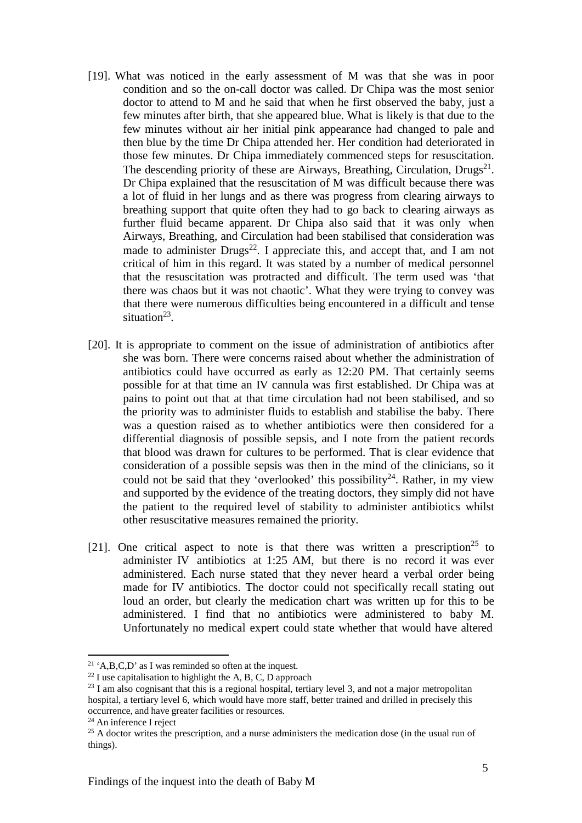- [19]. What was noticed in the early assessment of M was that she was in poor condition and so the on-call doctor was called. Dr Chipa was the most senior doctor to attend to M and he said that when he first observed the baby, just a few minutes after birth, that she appeared blue. What is likely is that due to the few minutes without air her initial pink appearance had changed to pale and then blue by the time Dr Chipa attended her. Her condition had deteriorated in those few minutes. Dr Chipa immediately commenced steps for resuscitation. The descending priority of these are Airways, Breathing, Circulation, Drugs<sup>21</sup>. Dr Chipa explained that the resuscitation of M was difficult because there was a lot of fluid in her lungs and as there was progress from clearing airways to breathing support that quite often they had to go back to clearing airways as further fluid became apparent. Dr Chipa also said that it was only when Airways, Breathing, and Circulation had been stabilised that consideration was made to administer  $Drugs^{22}$ . I appreciate this, and accept that, and I am not critical of him in this regard. It was stated by a number of medical personnel that the resuscitation was protracted and difficult. The term used was 'that there was chaos but it was not chaotic'. What they were trying to convey was that there were numerous difficulties being encountered in a difficult and tense situation $^{23}$ .
- [20]. It is appropriate to comment on the issue of administration of antibiotics after she was born. There were concerns raised about whether the administration of antibiotics could have occurred as early as 12:20 PM. That certainly seems possible for at that time an IV cannula was first established. Dr Chipa was at pains to point out that at that time circulation had not been stabilised, and so the priority was to administer fluids to establish and stabilise the baby. There was a question raised as to whether antibiotics were then considered for a differential diagnosis of possible sepsis, and I note from the patient records that blood was drawn for cultures to be performed. That is clear evidence that consideration of a possible sepsis was then in the mind of the clinicians, so it could not be said that they 'overlooked' this possibility<sup>24</sup>. Rather, in my view and supported by the evidence of the treating doctors, they simply did not have the patient to the required level of stability to administer antibiotics whilst other resuscitative measures remained the priority.
- [21]. One critical aspect to note is that there was written a prescription<sup>25</sup> to administer IV antibiotics at 1:25 AM, but there is no record it was ever administered. Each nurse stated that they never heard a verbal order being made for IV antibiotics. The doctor could not specifically recall stating out loud an order, but clearly the medication chart was written up for this to be administered. I find that no antibiotics were administered to baby M. Unfortunately no medical expert could state whether that would have altered

<sup>&</sup>lt;sup>21</sup> 'A,B,C,D' as I was reminded so often at the inquest.

 $22$  I use capitalisation to highlight the A, B, C, D approach

 $^{23}$  I am also cognisant that this is a regional hospital, tertiary level 3, and not a major metropolitan hospital, a tertiary level 6, which would have more staff, better trained and drilled in precisely this occurrence, and have greater facilities or resources.

<sup>&</sup>lt;sup>24</sup> An inference I reject

 $25$  A doctor writes the prescription, and a nurse administers the medication dose (in the usual run of things).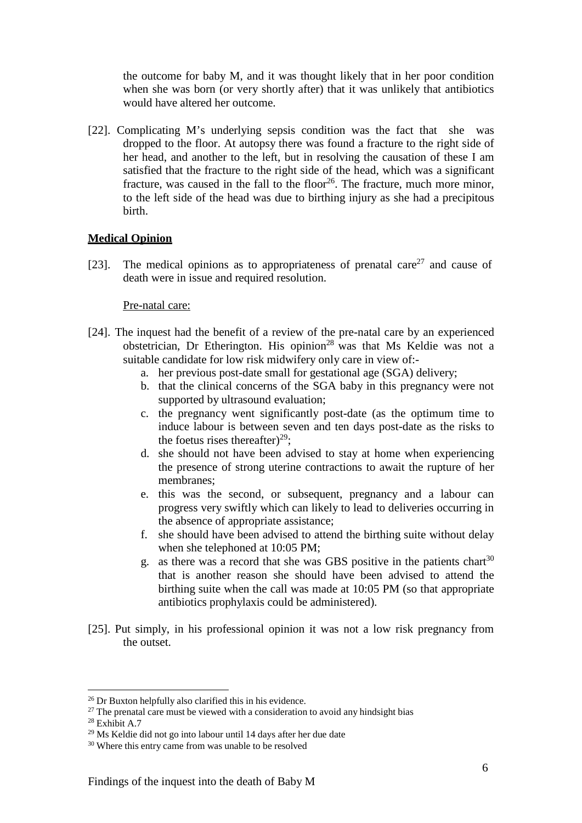the outcome for baby M, and it was thought likely that in her poor condition when she was born (or very shortly after) that it was unlikely that antibiotics would have altered her outcome.

[22]. Complicating M's underlying sepsis condition was the fact that she was dropped to the floor. At autopsy there was found a fracture to the right side of her head, and another to the left, but in resolving the causation of these I am satisfied that the fracture to the right side of the head, which was a significant fracture, was caused in the fall to the floor<sup>26</sup>. The fracture, much more minor, to the left side of the head was due to birthing injury as she had a precipitous birth.

## **Medical Opinion**

[23]. The medical opinions as to appropriateness of prenatal care<sup>27</sup> and cause of death were in issue and required resolution.

#### Pre-natal care:

- [24]. The inquest had the benefit of a review of the pre-natal care by an experienced obstetrician, Dr Etherington. His opinion<sup>28</sup> was that Ms Keldie was not a suitable candidate for low risk midwifery only care in view of:
	- a. her previous post-date small for gestational age (SGA) delivery;
	- b. that the clinical concerns of the SGA baby in this pregnancy were not supported by ultrasound evaluation;
	- c. the pregnancy went significantly post-date (as the optimum time to induce labour is between seven and ten days post-date as the risks to the foetus rises thereafter)<sup>29</sup>;
	- d. she should not have been advised to stay at home when experiencing the presence of strong uterine contractions to await the rupture of her membranes;
	- e. this was the second, or subsequent, pregnancy and a labour can progress very swiftly which can likely to lead to deliveries occurring in the absence of appropriate assistance;
	- f. she should have been advised to attend the birthing suite without delay when she telephoned at 10:05 PM;
	- g. as there was a record that she was GBS positive in the patients chart<sup>30</sup> that is another reason she should have been advised to attend the birthing suite when the call was made at 10:05 PM (so that appropriate antibiotics prophylaxis could be administered).
- [25]. Put simply, in his professional opinion it was not a low risk pregnancy from the outset.

<sup>26</sup> Dr Buxton helpfully also clarified this in his evidence.

 $27$  The prenatal care must be viewed with a consideration to avoid any hindsight bias

 $28$  Exhibit A.7

<sup>29</sup> Ms Keldie did not go into labour until 14 days after her due date

<sup>30</sup> Where this entry came from was unable to be resolved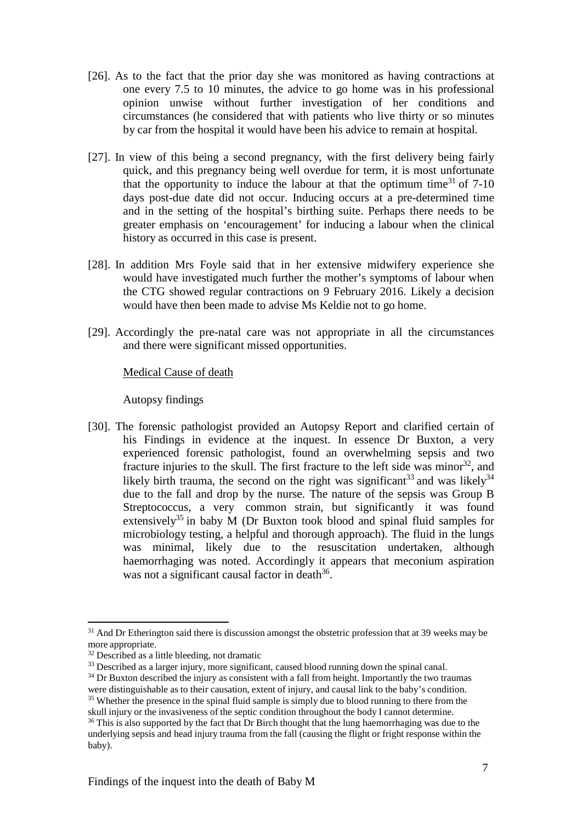- [26]. As to the fact that the prior day she was monitored as having contractions at one every 7.5 to 10 minutes, the advice to go home was in his professional opinion unwise without further investigation of her conditions and circumstances (he considered that with patients who live thirty or so minutes by car from the hospital it would have been his advice to remain at hospital.
- [27]. In view of this being a second pregnancy, with the first delivery being fairly quick, and this pregnancy being well overdue for term, it is most unfortunate that the opportunity to induce the labour at that the optimum time<sup>31</sup> of  $7-10$ days post-due date did not occur. Inducing occurs at a pre-determined time and in the setting of the hospital's birthing suite. Perhaps there needs to be greater emphasis on 'encouragement' for inducing a labour when the clinical history as occurred in this case is present.
- [28]. In addition Mrs Foyle said that in her extensive midwifery experience she would have investigated much further the mother's symptoms of labour when the CTG showed regular contractions on 9 February 2016. Likely a decision would have then been made to advise Ms Keldie not to go home.
- [29]. Accordingly the pre-natal care was not appropriate in all the circumstances and there were significant missed opportunities.

#### Medical Cause of death

Autopsy findings

[30]. The forensic pathologist provided an Autopsy Report and clarified certain of his Findings in evidence at the inquest. In essence Dr Buxton, a very experienced forensic pathologist, found an overwhelming sepsis and two fracture injuries to the skull. The first fracture to the left side was minor  $32$ , and likely birth trauma, the second on the right was significant<sup>33</sup> and was likely<sup>34</sup> due to the fall and drop by the nurse. The nature of the sepsis was Group B Streptococcus, a very common strain, but significantly it was found extensively<sup>35</sup> in baby M (Dr Buxton took blood and spinal fluid samples for microbiology testing, a helpful and thorough approach). The fluid in the lungs was minimal, likely due to the resuscitation undertaken, although haemorrhaging was noted. Accordingly it appears that meconium aspiration was not a significant causal factor in death $36$ .

<sup>&</sup>lt;sup>31</sup> And Dr Etherington said there is discussion amongst the obstetric profession that at 39 weeks may be more appropriate.

<sup>32</sup> Described as a little bleeding, not dramatic

<sup>&</sup>lt;sup>33</sup> Described as a larger injury, more significant, caused blood running down the spinal canal.

 $34$  Dr Buxton described the injury as consistent with a fall from height. Importantly the two traumas were distinguishable as to their causation, extent of injury, and causal link to the baby's condition.

<sup>&</sup>lt;sup>35</sup> Whether the presence in the spinal fluid sample is simply due to blood running to there from the skull injury or the invasiveness of the septic condition throughout the body I cannot determine.

<sup>&</sup>lt;sup>36</sup> This is also supported by the fact that Dr Birch thought that the lung haemorrhaging was due to the underlying sepsis and head injury trauma from the fall (causing the flight or fright response within the baby).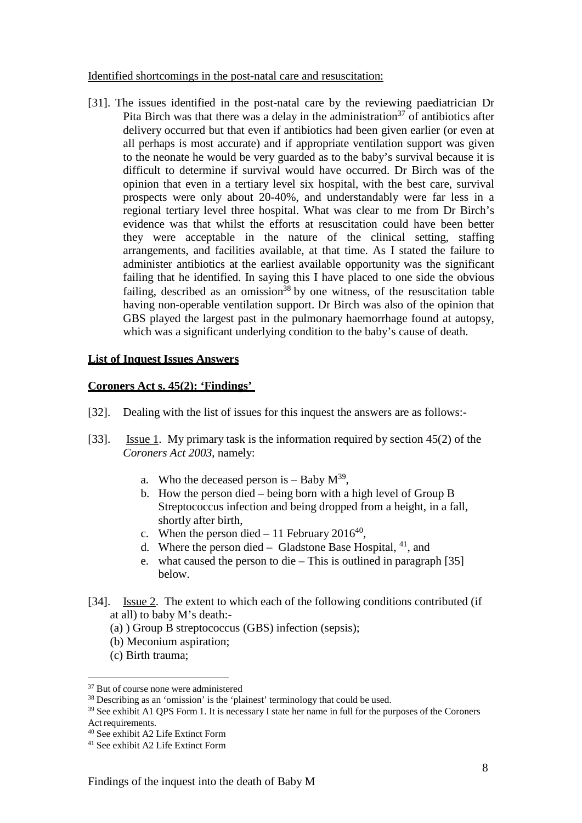Identified shortcomings in the post-natal care and resuscitation:

[31]. The issues identified in the post-natal care by the reviewing paediatrician Dr Pita Birch was that there was a delay in the administration<sup>37</sup> of antibiotics after delivery occurred but that even if antibiotics had been given earlier (or even at all perhaps is most accurate) and if appropriate ventilation support was given to the neonate he would be very guarded as to the baby's survival because it is difficult to determine if survival would have occurred. Dr Birch was of the opinion that even in a tertiary level six hospital, with the best care, survival prospects were only about 20-40%, and understandably were far less in a regional tertiary level three hospital. What was clear to me from Dr Birch's evidence was that whilst the efforts at resuscitation could have been better they were acceptable in the nature of the clinical setting, staffing arrangements, and facilities available, at that time. As I stated the failure to administer antibiotics at the earliest available opportunity was the significant failing that he identified. In saying this I have placed to one side the obvious failing, described as an omission<sup>38</sup> by one witness, of the resuscitation table having non-operable ventilation support. Dr Birch was also of the opinion that GBS played the largest past in the pulmonary haemorrhage found at autopsy, which was a significant underlying condition to the baby's cause of death.

#### **List of Inquest Issues Answers**

#### **Coroners Act s. 45(2): 'Findings'**

- [32]. Dealing with the list of issues for this inquest the answers are as follows:-
- [33]. Issue 1. My primary task is the information required by section 45(2) of the *Coroners Act 2003*, namely:
	- a. Who the deceased person is  $-$  Baby  $M^{39}$ ,
	- b. How the person died being born with a high level of Group B Streptococcus infection and being dropped from a height, in a fall, shortly after birth,
	- c. When the person died 11 February 2016<sup>40</sup>,
	- d. Where the person died Gladstone Base Hospital,  $^{41}$ , and
	- e. what caused the person to die This is outlined in paragraph [35] below.
- [34]. <u>Issue 2</u>. The extent to which each of the following conditions contributed (if at all) to baby M's death:-
	- (a) ) Group B streptococcus (GBS) infection (sepsis);
	- (b) Meconium aspiration;
	- (c) Birth trauma;

<sup>39</sup> See exhibit A1 QPS Form 1. It is necessary I state her name in full for the purposes of the Coroners

<sup>37</sup> But of course none were administered

<sup>&</sup>lt;sup>38</sup> Describing as an 'omission' is the 'plainest' terminology that could be used.

Act requirements.

<sup>40</sup> See exhibit A2 Life Extinct Form

<sup>41</sup> See exhibit A2 Life Extinct Form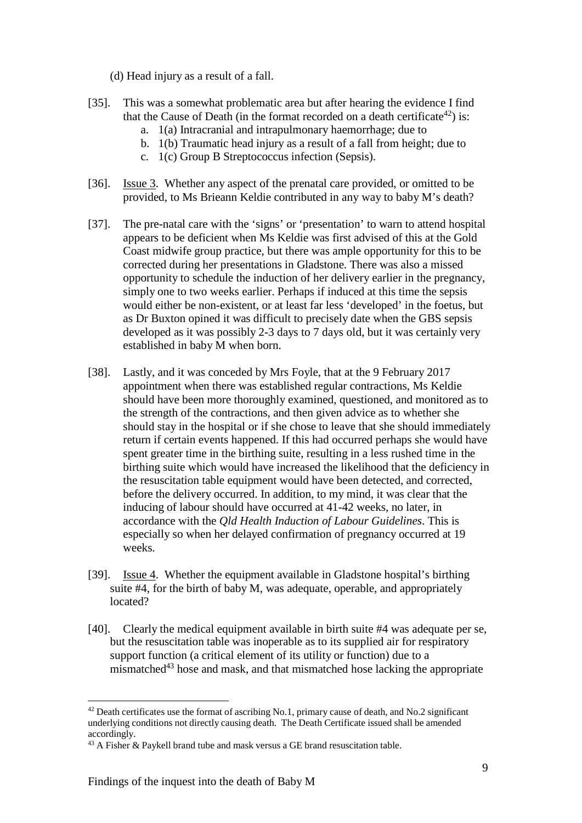(d) Head injury as a result of a fall.

- [35]. This was a somewhat problematic area but after hearing the evidence I find that the Cause of Death (in the format recorded on a death certificate<sup>42</sup>) is:
	- a. 1(a) Intracranial and intrapulmonary haemorrhage; due to
	- b. 1(b) Traumatic head injury as a result of a fall from height; due to
	- c. 1(c) Group B Streptococcus infection (Sepsis).
- [36]. Issue 3. Whether any aspect of the prenatal care provided, or omitted to be provided, to Ms Brieann Keldie contributed in any way to baby M's death?
- [37]. The pre-natal care with the 'signs' or 'presentation' to warn to attend hospital appears to be deficient when Ms Keldie was first advised of this at the Gold Coast midwife group practice, but there was ample opportunity for this to be corrected during her presentations in Gladstone. There was also a missed opportunity to schedule the induction of her delivery earlier in the pregnancy, simply one to two weeks earlier. Perhaps if induced at this time the sepsis would either be non-existent, or at least far less 'developed' in the foetus, but as Dr Buxton opined it was difficult to precisely date when the GBS sepsis developed as it was possibly 2-3 days to 7 days old, but it was certainly very established in baby M when born.
- [38]. Lastly, and it was conceded by Mrs Foyle, that at the 9 February 2017 appointment when there was established regular contractions, Ms Keldie should have been more thoroughly examined, questioned, and monitored as to the strength of the contractions, and then given advice as to whether she should stay in the hospital or if she chose to leave that she should immediately return if certain events happened. If this had occurred perhaps she would have spent greater time in the birthing suite, resulting in a less rushed time in the birthing suite which would have increased the likelihood that the deficiency in the resuscitation table equipment would have been detected, and corrected, before the delivery occurred. In addition, to my mind, it was clear that the inducing of labour should have occurred at 41-42 weeks, no later, in accordance with the *Qld Health Induction of Labour Guidelines*. This is especially so when her delayed confirmation of pregnancy occurred at 19 weeks.
- [39]. Issue 4. Whether the equipment available in Gladstone hospital's birthing suite #4, for the birth of baby M, was adequate, operable, and appropriately located?
- [40]. Clearly the medical equipment available in birth suite #4 was adequate per se, but the resuscitation table was inoperable as to its supplied air for respiratory support function (a critical element of its utility or function) due to a mismatched<sup>43</sup> hose and mask, and that mismatched hose lacking the appropriate

 $42$  Death certificates use the format of ascribing No.1, primary cause of death, and No.2 significant underlying conditions not directly causing death. The Death Certificate issued shall be amended accordingly.

<sup>43</sup> A Fisher & Paykell brand tube and mask versus a GE brand resuscitation table.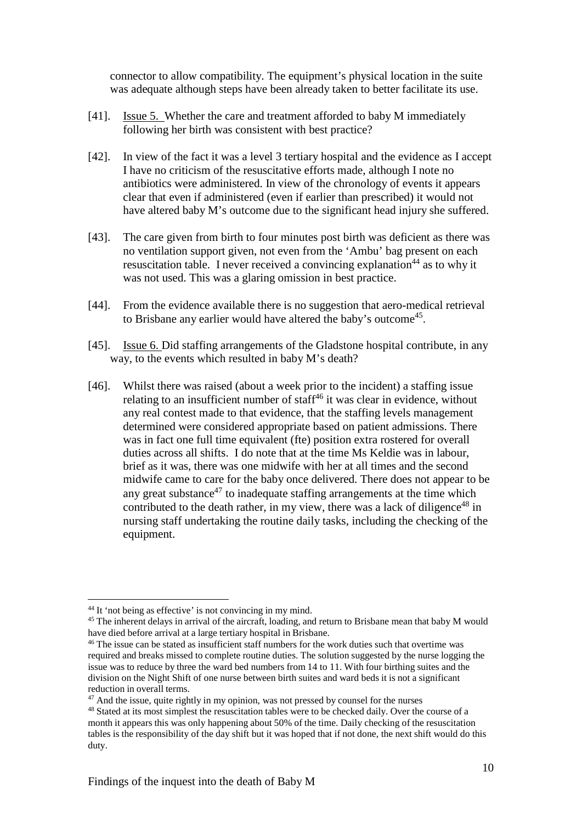connector to allow compatibility. The equipment's physical location in the suite was adequate although steps have been already taken to better facilitate its use.

- [41]. Issue 5. Whether the care and treatment afforded to baby M immediately following her birth was consistent with best practice?
- [42]. In view of the fact it was a level 3 tertiary hospital and the evidence as I accept I have no criticism of the resuscitative efforts made, although I note no antibiotics were administered. In view of the chronology of events it appears clear that even if administered (even if earlier than prescribed) it would not have altered baby M's outcome due to the significant head injury she suffered.
- [43]. The care given from birth to four minutes post birth was deficient as there was no ventilation support given, not even from the 'Ambu' bag present on each resuscitation table. I never received a convincing explanation<sup>44</sup> as to why it was not used. This was a glaring omission in best practice.
- [44]. From the evidence available there is no suggestion that aero-medical retrieval to Brisbane any earlier would have altered the baby's outcome<sup>45</sup>.
- [45]. Issue 6. Did staffing arrangements of the Gladstone hospital contribute, in any way, to the events which resulted in baby M's death?
- [46]. Whilst there was raised (about a week prior to the incident) a staffing issue relating to an insufficient number of staff $46$  it was clear in evidence, without any real contest made to that evidence, that the staffing levels management determined were considered appropriate based on patient admissions. There was in fact one full time equivalent (fte) position extra rostered for overall duties across all shifts. I do note that at the time Ms Keldie was in labour, brief as it was, there was one midwife with her at all times and the second midwife came to care for the baby once delivered. There does not appear to be any great substance $47$  to inadequate staffing arrangements at the time which contributed to the death rather, in my view, there was a lack of diligence<sup>48</sup> in nursing staff undertaking the routine daily tasks, including the checking of the equipment.

<sup>44</sup> It 'not being as effective' is not convincing in my mind.

<sup>&</sup>lt;sup>45</sup> The inherent delays in arrival of the aircraft, loading, and return to Brisbane mean that baby M would have died before arrival at a large tertiary hospital in Brisbane.

<sup>46</sup> The issue can be stated as insufficient staff numbers for the work duties such that overtime was required and breaks missed to complete routine duties. The solution suggested by the nurse logging the issue was to reduce by three the ward bed numbers from 14 to 11. With four birthing suites and the division on the Night Shift of one nurse between birth suites and ward beds it is not a significant reduction in overall terms.

 $47$  And the issue, quite rightly in my opinion, was not pressed by counsel for the nurses

<sup>48</sup> Stated at its most simplest the resuscitation tables were to be checked daily. Over the course of a month it appears this was only happening about 50% of the time. Daily checking of the resuscitation tables is the responsibility of the day shift but it was hoped that if not done, the next shift would do this duty.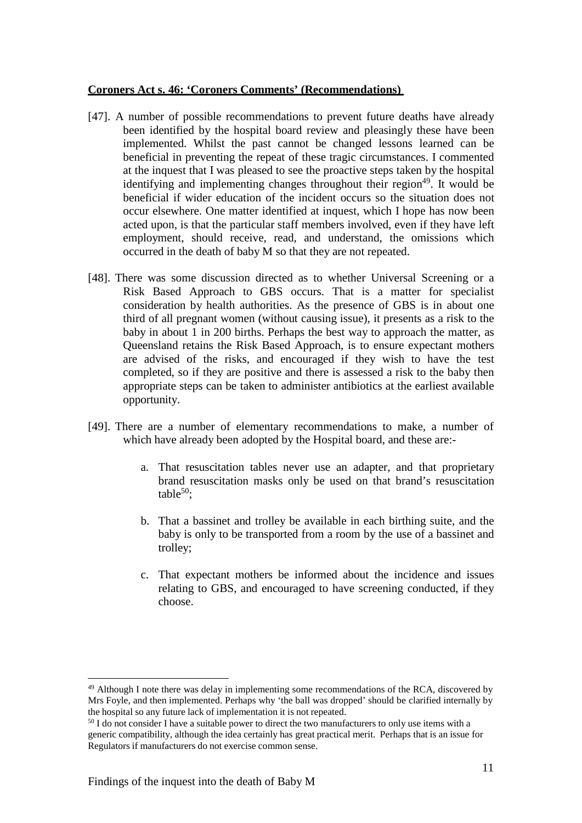#### **Coroners Act s. 46: 'Coroners Comments' (Recommendations)**

- [47]. A number of possible recommendations to prevent future deaths have already been identified by the hospital board review and pleasingly these have been implemented. Whilst the past cannot be changed lessons learned can be beneficial in preventing the repeat of these tragic circumstances. I commented at the inquest that I was pleased to see the proactive steps taken by the hospital identifying and implementing changes throughout their region<sup>49</sup>. It would be beneficial if wider education of the incident occurs so the situation does not occur elsewhere. One matter identified at inquest, which I hope has now been acted upon, is that the particular staff members involved, even if they have left employment, should receive, read, and understand, the omissions which occurred in the death of baby M so that they are not repeated.
- [48]. There was some discussion directed as to whether Universal Screening or a Risk Based Approach to GBS occurs. That is a matter for specialist consideration by health authorities. As the presence of GBS is in about one third of all pregnant women (without causing issue), it presents as a risk to the baby in about 1 in 200 births. Perhaps the best way to approach the matter, as Queensland retains the Risk Based Approach, is to ensure expectant mothers are advised of the risks, and encouraged if they wish to have the test completed, so if they are positive and there is assessed a risk to the baby then appropriate steps can be taken to administer antibiotics at the earliest available opportunity.
- [49]. There are a number of elementary recommendations to make, a number of which have already been adopted by the Hospital board, and these are:
	- a. That resuscitation tables never use an adapter, and that proprietary brand resuscitation masks only be used on that brand's resuscitation table $50$ :
	- b. That a bassinet and trolley be available in each birthing suite, and the baby is only to be transported from a room by the use of a bassinet and trolley;
	- c. That expectant mothers be informed about the incidence and issues relating to GBS, and encouraged to have screening conducted, if they choose.

<sup>&</sup>lt;sup>49</sup> Although I note there was delay in implementing some recommendations of the RCA, discovered by Mrs Foyle, and then implemented. Perhaps why 'the ball was dropped' should be clarified internally by the hospital so any future lack of implementation it is not repeated.

<sup>&</sup>lt;sup>50</sup> I do not consider I have a suitable power to direct the two manufacturers to only use items with a generic compatibility, although the idea certainly has great practical merit. Perhaps that is an issue for Regulators if manufacturers do not exercise common sense.